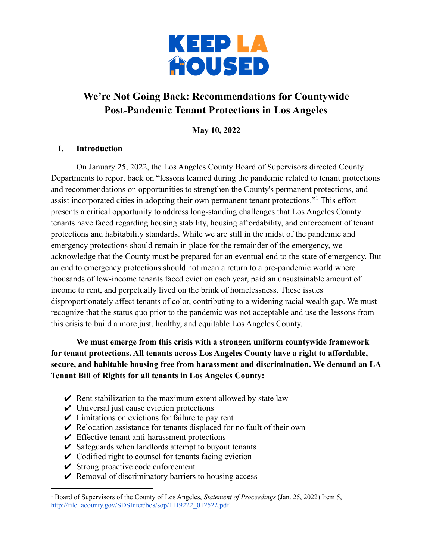

# **We're Not Going Back: Recommendations for Countywide Post-Pandemic Tenant Protections in Los Angeles**

**May 10, 2022**

#### **I. Introduction**

On January 25, 2022, the Los Angeles County Board of Supervisors directed County Departments to report back on "lessons learned during the pandemic related to tenant protections and recommendations on opportunities to strengthen the County's permanent protections, and assist incorporated cities in adopting their own permanent tenant protections."<sup>1</sup> This effort presents a critical opportunity to address long-standing challenges that Los Angeles County tenants have faced regarding housing stability, housing affordability, and enforcement of tenant protections and habitability standards. While we are still in the midst of the pandemic and emergency protections should remain in place for the remainder of the emergency, we acknowledge that the County must be prepared for an eventual end to the state of emergency. But an end to emergency protections should not mean a return to a pre-pandemic world where thousands of low-income tenants faced eviction each year, paid an unsustainable amount of income to rent, and perpetually lived on the brink of homelessness. These issues disproportionately affect tenants of color, contributing to a widening racial wealth gap. We must recognize that the status quo prior to the pandemic was not acceptable and use the lessons from this crisis to build a more just, healthy, and equitable Los Angeles County.

**We must emerge from this crisis with a stronger, uniform countywide framework for tenant protections. All tenants across Los Angeles County have a right to affordable, secure, and habitable housing free from harassment and discrimination. We demand an LA Tenant Bill of Rights for all tenants in Los Angeles County:**

- $\triangleright$  Rent stabilization to the maximum extent allowed by state law
- $\vee$  Universal just cause eviction protections
- $\vee$  Limitations on evictions for failure to pay rent
- $\vee$  Relocation assistance for tenants displaced for no fault of their own
- $\vee$  Effective tenant anti-harassment protections
- $\triangleright$  Safeguards when landlords attempt to buyout tenants
- $\vee$  Codified right to counsel for tenants facing eviction
- $\checkmark$  Strong proactive code enforcement
- $\vee$  Removal of discriminatory barriers to housing access

<sup>1</sup> Board of Supervisors of the County of Los Angeles, *Statement of Proceedings* (Jan. 25, 2022) Item 5, [http://file.lacounty.gov/SDSInter/bos/sop/1119222\\_012522.pdf](http://file.lacounty.gov/SDSInter/bos/sop/1119222_012522.pdf).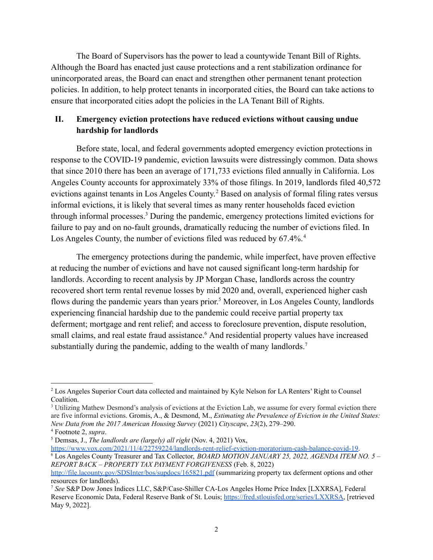The Board of Supervisors has the power to lead a countywide Tenant Bill of Rights. Although the Board has enacted just cause protections and a rent stabilization ordinance for unincorporated areas, the Board can enact and strengthen other permanent tenant protection policies. In addition, to help protect tenants in incorporated cities, the Board can take actions to ensure that incorporated cities adopt the policies in the LA Tenant Bill of Rights.

### **II. Emergency eviction protections have reduced evictions without causing undue hardship for landlords**

Before state, local, and federal governments adopted emergency eviction protections in response to the COVID-19 pandemic, eviction lawsuits were distressingly common. Data shows that since 2010 there has been an average of 171,733 evictions filed annually in California. Los Angeles County accounts for approximately 33% of those filings. In 2019, landlords filed 40,572 evictions against tenants in Los Angeles County. <sup>2</sup> Based on analysis of formal filing rates versus informal evictions, it is likely that several times as many renter households faced eviction through informal processes.<sup>3</sup> During the pandemic, emergency protections limited evictions for failure to pay and on no-fault grounds, dramatically reducing the number of evictions filed. In Los Angeles County, the number of evictions filed was reduced by 67.4%.<sup>4</sup>

The emergency protections during the pandemic, while imperfect, have proven effective at reducing the number of evictions and have not caused significant long-term hardship for landlords. According to recent analysis by JP Morgan Chase, landlords across the country recovered short term rental revenue losses by mid 2020 and, overall, experienced higher cash flows during the pandemic years than years prior. <sup>5</sup> Moreover, in Los Angeles County, landlords experiencing financial hardship due to the pandemic could receive partial property tax deferment; mortgage and rent relief; and access to foreclosure prevention, dispute resolution, small claims, and real estate fraud assistance.<sup>6</sup> And residential property values have increased substantially during the pandemic, adding to the wealth of many landlords.<sup>7</sup>

<sup>&</sup>lt;sup>2</sup> Los Angeles Superior Court data collected and maintained by Kyle Nelson for LA Renters' Right to Counsel Coalition.

<sup>&</sup>lt;sup>3</sup> Utilizing Mathew Desmond's analysis of evictions at the Eviction Lab, we assume for every formal eviction there are five informal evictions. Gromis, A., & Desmond, M., *Estimating the Prevalence of Eviction in the United States: New Data from the 2017 American Housing Survey* (2021) *Cityscape*, *23*(2), 279–290.

<sup>4</sup> Footnote 2, *supra*.

<sup>5</sup> Demsas, J., *The landlords are (largely) all right* (Nov. 4, 2021) [Vox,](https://www.vox.com/2021/11/4/22759224/landlords-rent-relief-eviction-moratorium-cash-balance-covid-19)

<sup>6</sup> Los Angeles County Treasurer and Tax Collector, *BOARD MOTION JANUARY 25, 2022, AGENDA ITEM NO. 5 – REPORT BACK – PROPERTY TAX PAYMENT FORGIVENESS* (Feb. 8, 2022) [https://www.vox.com/2021/11/4/22759224/landlords-rent-relief-eviction-moratorium-cash-balance-covid-19.](https://www.vox.com/2021/11/4/22759224/landlords-rent-relief-eviction-moratorium-cash-balance-covid-19)

<http://file.lacounty.gov/SDSInter/bos/supdocs/165821.pdf> (summarizing property tax deferment options and other resources for landlords).

<sup>7</sup> *See* S&P Dow Jones Indices LLC, S&P/Case-Shiller CA-Los Angeles Home Price Index [LXXRSA], Federal Reserve Economic Data, Federal Reserve Bank of St. Louis; [https://fred.stlouisfed.org/series/LXXRSA,](https://fred.stlouisfed.org/series/LXXRSA) [retrieved May 9, 2022].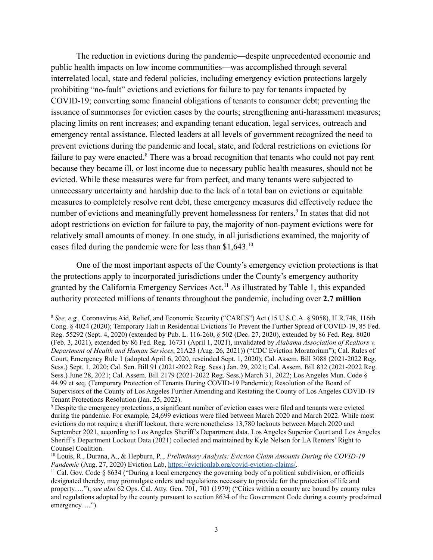The reduction in evictions during the pandemic—despite unprecedented economic and public health impacts on low income communities—was accomplished through several interrelated local, state and federal policies, including emergency eviction protections largely prohibiting "no-fault" evictions and evictions for failure to pay for tenants impacted by COVID-19; converting some financial obligations of tenants to consumer debt; preventing the issuance of summonses for eviction cases by the courts; strengthening anti-harassment measures; placing limits on rent increases; and expanding tenant education, legal services, outreach and emergency rental assistance. Elected leaders at all levels of government recognized the need to prevent evictions during the pandemic and local, state, and federal restrictions on evictions for failure to pay were enacted.<sup>8</sup> There was a broad recognition that tenants who could not pay rent because they became ill, or lost income due to necessary public health measures, should not be evicted. While these measures were far from perfect, and many tenants were subjected to unnecessary uncertainty and hardship due to the lack of a total ban on evictions or equitable measures to completely resolve rent debt, these emergency measures did effectively reduce the number of evictions and meaningfully prevent homelessness for renters.<sup>9</sup> In states that did not adopt restrictions on eviction for failure to pay, the majority of non-payment evictions were for relatively small amounts of money. In one study, in all jurisdictions examined, the majority of cases filed during the pandemic were for less than \$1,643.<sup>10</sup>

One of the most important aspects of the County's emergency eviction protections is that the protections apply to incorporated jurisdictions under the County's emergency authority granted by the California Emergency Services Act.<sup>11</sup> As illustrated by Table 1, this expanded authority protected millions of tenants throughout the pandemic, including over **2.7 million**

<sup>8</sup> *See, e.g.,* Coronavirus Aid, Relief, and Economic Security ("CARES") Act (15 U.S.C.A. § 9058), H.R.748, 116th Cong. § 4024 (2020); Temporary Halt in Residential Evictions To Prevent the Further Spread of COVID-19, 85 Fed. Reg. 55292 (Sept. 4, 2020) (extended by Pub. L. 116-260, § 502 (Dec. 27, 2020), extended by 86 Fed. Reg. 8020 (Feb. 3, 2021), extended by 86 Fed. Reg. 16731 (April 1, 2021), invalidated by *Alabama Association of Realtors v. Department of Health and Human Services*, 21A23 (Aug. 26, 2021)) ("CDC Eviction Moratorium"); Cal. Rules of Court, Emergency Rule 1 (adopted April 6, 2020, rescinded Sept. 1, 2020); Cal. Assem. Bill 3088 (2021-2022 Reg. Sess.) Sept. 1, 2020; Cal. Sen. Bill 91 (2021-2022 Reg. Sess.) Jan. 29, 2021; Cal. Assem. Bill 832 (2021-2022 Reg. Sess.) June 28, 2021; Cal. Assem. Bill 2179 (2021-2022 Reg. Sess.) March 31, 2022; Los Angeles Mun. Code § 44.99 et seq. (Temporary Protection of Tenants During COVID-19 Pandemic); Resolution of the Board of Supervisors of the County of Los Angeles Further Amending and Restating the County of Los Angeles COVID-19 Tenant Protections Resolution (Jan. 25, 2022).

<sup>9</sup> Despite the emergency protections, a significant number of eviction cases were filed and tenants were evicted during the pandemic. For example, 24,699 evictions were filed between March 2020 and March 2022. While most evictions do not require a sheriff lockout, there were nonetheless 13,780 lockouts between March 2020 and September 2021, according to Los Angeles Sheriff's Department data. Los Angeles Superior Court and Los Angeles Sheriff's Department Lockout Data (2021) collected and maintained by Kyle Nelson for LA Renters' Right to Counsel Coalition.

<sup>10</sup> Louis, R., Durana, A., & Hepburn, P.., *Preliminary Analysis: Eviction Claim Amounts During the COVID-19 Pandemic* (Aug. 27, 2020) Eviction Lab, <https://evictionlab.org/covid-eviction-claims/>.

<sup>&</sup>lt;sup>11</sup> Cal. Gov. Code § 8634 ("During a local emergency the governing body of a political subdivision, or officials designated thereby, may promulgate orders and regulations necessary to provide for the protection of life and property…."); *see also* 62 Ops. Cal. Atty. Gen. 701, 701 (1979) ("Cities within a county are bound by county rules and regulations adopted by the county pursuant to section 8634 of the Government Code during a county proclaimed emergency….").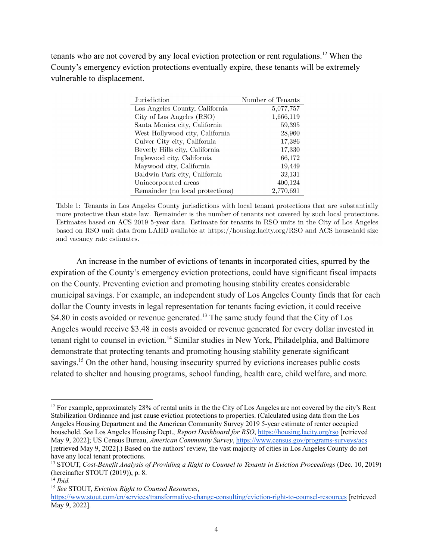tenants who are not covered by any local eviction protection or rent regulations.<sup>12</sup> When the County's emergency eviction protections eventually expire, these tenants will be extremely vulnerable to displacement.

| Jurisdiction                     | Number of Tenants |
|----------------------------------|-------------------|
| Los Angeles County, California   | 5,077,757         |
| City of Los Angeles (RSO)        | 1,666,119         |
| Santa Monica city, California    | 59,395            |
| West Hollywood city, California  | 28,960            |
| Culver City city, California     | 17,386            |
| Beverly Hills city, California   | 17,330            |
| Inglewood city, California       | 66,172            |
| Maywood city, California         | 19,449            |
| Baldwin Park city, California    | 32,131            |
| Unincorporated areas             | 400,124           |
| Remainder (no local protections) | 2,770,691         |

Table 1: Tenants in Los Angeles County jurisdictions with local tenant protections that are substantially more protective than state law. Remainder is the number of tenants not covered by such local protections. Estimates based on ACS 2019 5-year data. Estimate for tenants in RSO units in the City of Los Angeles based on RSO unit data from LAHD available at https://housing.lacity.org/RSO and ACS household size and vacancy rate estimates.

An increase in the number of evictions of tenants in incorporated cities, spurred by the expiration of the County's emergency eviction protections, could have significant fiscal impacts on the County. Preventing eviction and promoting housing stability creates considerable municipal savings. For example, an independent study of Los Angeles County finds that for each dollar the County invests in legal representation for tenants facing eviction, it could receive \$4.80 in costs avoided or revenue generated.<sup>13</sup> The same study found that the City of Los Angeles would receive \$3.48 in costs avoided or revenue generated for every dollar invested in tenant right to counsel in eviction.<sup>14</sup> Similar studies in New York, Philadelphia, and Baltimore demonstrate that protecting tenants and promoting housing stability generate significant savings.<sup>15</sup> On the other hand, housing insecurity spurred by evictions increases public costs related to shelter and housing programs, school funding, health care, child welfare, and more.

<sup>&</sup>lt;sup>12</sup> For example, approximately 28% of rental units in the the City of Los Angeles are not covered by the city's Rent Stabilization Ordinance and just cause eviction protections to properties. (Calculated using data from the Los Angeles Housing Department and the American Community Survey 2019 5-year estimate of renter occupied household. *See* Los Angeles Housing Dept., *Report Dashboard for RSO*, <https://housing.lacity.org/rso> [retrieved May 9, 2022]; US Census Bureau, *American Community Survey*, <https://www.census.gov/programs-surveys/acs> [retrieved May 9, 2022].) Based on the authors' review, the vast majority of cities in Los Angeles County do not have any local tenant protections.

<sup>13</sup> STOUT, *Cost-Benefit Analysis of Providing a Right to Counsel to Tenants in Eviction Proceedings* (Dec. 10, 2019) (hereinafter STOUT (2019)), p. 8.

<sup>14</sup> *Ibid.*

<sup>15</sup> *See* STOUT, *Eviction Right to Counsel Resources*,

<https://www.stout.com/en/services/transformative-change-consulting/eviction-right-to-counsel-resources> [retrieved May 9, 2022].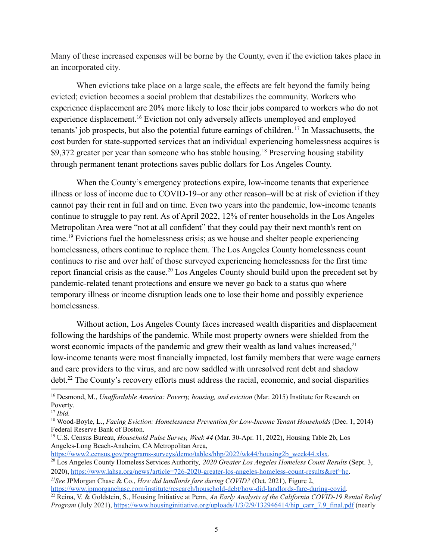Many of these increased expenses will be borne by the County, even if the eviction takes place in an incorporated city.

When evictions take place on a large scale, the effects are felt beyond the family being evicted; eviction becomes a social problem that destabilizes the community. Workers who experience displacement are 20% more likely to lose their jobs compared to workers who do not experience displacement.<sup>16</sup> Eviction not only adversely affects unemployed and employed tenants' job prospects, but also the potential future earnings of children. <sup>17</sup> In Massachusetts, the cost burden for state-supported services that an individual experiencing homelessness acquires is \$9,372 greater per year than someone who has stable housing.<sup>18</sup> Preserving housing stability through permanent tenant protections saves public dollars for Los Angeles County.

When the County's emergency protections expire, low-income tenants that experience illness or loss of income due to COVID-19–or any other reason–will be at risk of eviction if they cannot pay their rent in full and on time. Even two years into the pandemic, low-income tenants continue to struggle to pay rent. As of April 2022, 12% of renter households in the Los Angeles Metropolitan Area were "not at all confident" that they could pay their next month's rent on time.<sup>19</sup> Evictions fuel the homelessness crisis; as we house and shelter people experiencing homelessness, others continue to replace them. The Los Angeles County homelessness count continues to rise and over half of those surveyed experiencing homelessness for the first time report financial crisis as the cause.<sup>20</sup> Los Angeles County should build upon the precedent set by pandemic-related tenant protections and ensure we never go back to a status quo where temporary illness or income disruption leads one to lose their home and possibly experience homelessness.

Without action, Los Angeles County faces increased wealth disparities and displacement following the hardships of the pandemic. While most property owners were shielded from the worst economic impacts of the pandemic and grew their wealth as land values increased,<sup>21</sup> low-income tenants were most financially impacted, lost family members that were wage earners and care providers to the virus, and are now saddled with unresolved rent debt and shadow debt.<sup>22</sup> The County's recovery efforts must address the racial, economic, and social disparities

[https://www2.census.gov/programs-surveys/demo/tables/hhp/2022/wk44/housing2b\\_week44.xlsx.](https://www2.census.gov/programs-surveys/demo/tables/hhp/2022/wk44/housing2b_week44.xlsx)

<sup>20</sup> Los Angeles County Homeless Services Authority, *2020 Greater Los Angeles Homeless Count Results* (Sept. 3, 2020), <https://www.lahsa.org/news?article=726-2020-greater-los-angeles-homeless-count-results&ref=hc>.

<sup>&</sup>lt;sup>16</sup> Desmond, M., *Unaffordable America: Poverty, housing, and eviction* (Mar. 2015) Institute for Research on Poverty.

<sup>17</sup> *Ibid.*

<sup>18</sup> Wood-Boyle, L., *Facing Eviction: Homelessness Prevention for Low-Income Tenant Households* (Dec. 1, 2014) Federal Reserve Bank of Boston.

<sup>19</sup> U.S. Census Bureau, *Household Pulse Survey, Week 44* (Mar. 30-Apr. 11, 2022), Housing Table 2b, Los Angeles-Long Beach-Anaheim, CA Metropolitan Area,

*<sup>21</sup>See* JPMorgan Chase & Co., *How did landlords fare during COVID?* (Oct. 2021), Figure 2, <https://www.jpmorganchase.com/institute/research/household-debt/how-did-landlords-fare-during-covid>.

<sup>22</sup> Reina, V. & Goldstein, S., Housing Initiative at Penn, *An Early Analysis of the California COVID-19 Rental Relief Program* (July 2021), [https://www.housinginitiative.org/uploads/1/3/2/9/132946414/hip\\_carr\\_7.9\\_final.pdf](https://www.housinginitiative.org/uploads/1/3/2/9/132946414/hip_carr_7.9_final.pdf) (nearly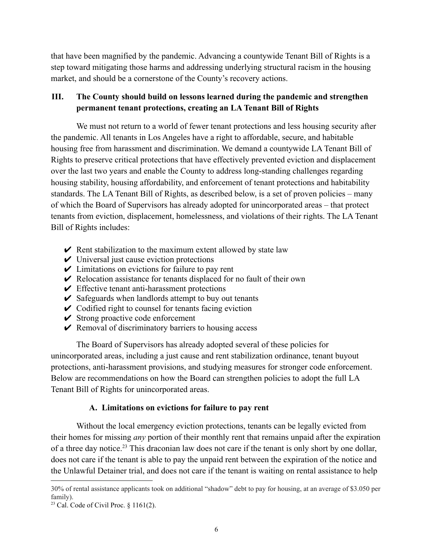that have been magnified by the pandemic. Advancing a countywide Tenant Bill of Rights is a step toward mitigating those harms and addressing underlying structural racism in the housing market, and should be a cornerstone of the County's recovery actions.

# **III. The County should build on lessons learned during the pandemic and strengthen permanent tenant protections, creating an LA Tenant Bill of Rights**

We must not return to a world of fewer tenant protections and less housing security after the pandemic. All tenants in Los Angeles have a right to affordable, secure, and habitable housing free from harassment and discrimination. We demand a countywide LA Tenant Bill of Rights to preserve critical protections that have effectively prevented eviction and displacement over the last two years and enable the County to address long-standing challenges regarding housing stability, housing affordability, and enforcement of tenant protections and habitability standards. The LA Tenant Bill of Rights, as described below, is a set of proven policies – many of which the Board of Supervisors has already adopted for unincorporated areas – that protect tenants from eviction, displacement, homelessness, and violations of their rights. The LA Tenant Bill of Rights includes:

- $\triangleright$  Rent stabilization to the maximum extent allowed by state law
- $\vee$  Universal just cause eviction protections
- $\vee$  Limitations on evictions for failure to pay rent
- $\vee$  Relocation assistance for tenants displaced for no fault of their own
- $\vee$  Effective tenant anti-harassment protections
- $\checkmark$  Safeguards when landlords attempt to buy out tenants
- $\vee$  Codified right to counsel for tenants facing eviction
- $\vee$  Strong proactive code enforcement
- $\vee$  Removal of discriminatory barriers to housing access

The Board of Supervisors has already adopted several of these policies for unincorporated areas, including a just cause and rent stabilization ordinance, tenant buyout protections, anti-harassment provisions, and studying measures for stronger code enforcement. Below are recommendations on how the Board can strengthen policies to adopt the full LA Tenant Bill of Rights for unincorporated areas.

#### **A. Limitations on evictions for failure to pay rent**

Without the local emergency eviction protections, tenants can be legally evicted from their homes for missing *any* portion of their monthly rent that remains unpaid after the expiration of a three day notice.<sup>23</sup> This draconian law does not care if the tenant is only short by one dollar, does not care if the tenant is able to pay the unpaid rent between the expiration of the notice and the Unlawful Detainer trial, and does not care if the tenant is waiting on rental assistance to help

<sup>30%</sup> of rental assistance applicants took on additional "shadow" debt to pay for housing, at an average of \$3.050 per family).

<sup>&</sup>lt;sup>23</sup> Cal. Code of Civil Proc.  $\S$  1161(2).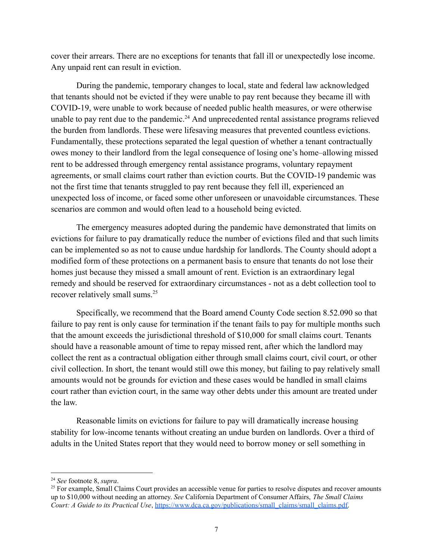cover their arrears. There are no exceptions for tenants that fall ill or unexpectedly lose income. Any unpaid rent can result in eviction.

During the pandemic, temporary changes to local, state and federal law acknowledged that tenants should not be evicted if they were unable to pay rent because they became ill with COVID-19, were unable to work because of needed public health measures, or were otherwise unable to pay rent due to the pandemic.<sup>24</sup> And unprecedented rental assistance programs relieved the burden from landlords. These were lifesaving measures that prevented countless evictions. Fundamentally, these protections separated the legal question of whether a tenant contractually owes money to their landlord from the legal consequence of losing one's home–allowing missed rent to be addressed through emergency rental assistance programs, voluntary repayment agreements, or small claims court rather than eviction courts. But the COVID-19 pandemic was not the first time that tenants struggled to pay rent because they fell ill, experienced an unexpected loss of income, or faced some other unforeseen or unavoidable circumstances. These scenarios are common and would often lead to a household being evicted.

The emergency measures adopted during the pandemic have demonstrated that limits on evictions for failure to pay dramatically reduce the number of evictions filed and that such limits can be implemented so as not to cause undue hardship for landlords. The County should adopt a modified form of these protections on a permanent basis to ensure that tenants do not lose their homes just because they missed a small amount of rent. Eviction is an extraordinary legal remedy and should be reserved for extraordinary circumstances - not as a debt collection tool to recover relatively small sums.<sup>25</sup>

Specifically, we recommend that the Board amend County Code section 8.52.090 so that failure to pay rent is only cause for termination if the tenant fails to pay for multiple months such that the amount exceeds the jurisdictional threshold of \$10,000 for small claims court. Tenants should have a reasonable amount of time to repay missed rent, after which the landlord may collect the rent as a contractual obligation either through small claims court, civil court, or other civil collection. In short, the tenant would still owe this money, but failing to pay relatively small amounts would not be grounds for eviction and these cases would be handled in small claims court rather than eviction court, in the same way other debts under this amount are treated under the law.

Reasonable limits on evictions for failure to pay will dramatically increase housing stability for low-income tenants without creating an undue burden on landlords. Over a third of adults in the United States report that they would need to borrow money or sell something in

<sup>24</sup> *See* footnote 8, *supra*.

 $25$  For example, Small Claims Court provides an accessible venue for parties to resolve disputes and recover amounts up to \$10,000 without needing an attorney. *See* California Department of Consumer Affairs, *The Small Claims Court: A Guide to its Practical Use*, [https://www.dca.ca.gov/publications/small\\_claims/small\\_claims.pdf.](https://www.dca.ca.gov/publications/small_claims/small_claims.pdf)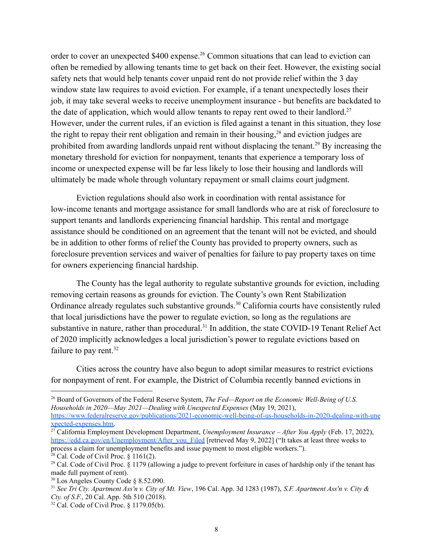order to cover an unexpected \$400 expense.<sup>26</sup> Common situations that can lead to eviction can often be remedied by allowing tenants time to get back on their feet. However, the existing social safety nets that would help tenants cover unpaid rent do not provide relief within the 3 day window state law requires to avoid eviction. For example, if a tenant unexpectedly loses their job, it may take several weeks to receive unemployment insurance - but benefits are backdated to the date of application, which would allow tenants to repay rent owed to their landlord.<sup>27</sup> However, under the current rules, if an eviction is filed against a tenant in this situation, they lose the right to repay their rent obligation and remain in their housing,<sup>28</sup> and eviction judges are prohibited from awarding landlords unpaid rent without displacing the tenant.<sup>29</sup> By increasing the monetary threshold for eviction for nonpayment, tenants that experience a temporary loss of income or unexpected expense will be far less likely to lose their housing and landlords will ultimately be made whole through voluntary repayment or small claims court judgment.

Eviction regulations should also work in coordination with rental assistance for low-income tenants and mortgage assistance for small landlords who are at risk of foreclosure to support tenants and landlords experiencing financial hardship. This rental and mortgage assistance should be conditioned on an agreement that the tenant will not be evicted, and should be in addition to other forms of relief the County has provided to property owners, such as foreclosure prevention services and waiver of penalties for failure to pay property taxes on time for owners experiencing financial hardship.

The County has the legal authority to regulate substantive grounds for eviction, including removing certain reasons as grounds for eviction. The County's own Rent Stabilization Ordinance already regulates such substantive grounds.<sup>30</sup> California courts have consistently ruled that local jurisdictions have the power to regulate eviction, so long as the regulations are substantive in nature, rather than procedural.<sup>31</sup> In addition, the state COVID-19 Tenant Relief Act of 2020 implicitly acknowledges a local jurisdiction's power to regulate evictions based on failure to pay rent.<sup>32</sup>

Cities across the country have also begun to adopt similar measures to restrict evictions for nonpayment of rent. For example, the District of Columbia recently banned evictions in

<sup>26</sup> Board of Governors of the Federal Reserve System, *The Fed—Report on the Economic Well-Being of U.S. Households in 2020—May 2021—Dealing with Unexpected Expenses* (May 19, 2021), [https://www.federalreserve.gov/publications/2021-economic-well-being-of-us-households-in-2020-dealing-with-une](https://www.federalreserve.gov/publications/2021-economic-well-being-of-us-households-in-2020-dealing-with-unexpected-expenses.htm)

[xpected-expenses.htm.](https://www.federalreserve.gov/publications/2021-economic-well-being-of-us-households-in-2020-dealing-with-unexpected-expenses.htm)

<sup>27</sup> California Employment Development Department, *Unemployment Insurance – After You Apply* (Feb. 17, 2022), [https://edd.ca.gov/en/Unemployment/After\\_you\\_Filed](https://edd.ca.gov/en/Unemployment/After_you_Filed) [retrieved May 9, 2022] ("It takes at least three weeks to process a claim for unemployment benefits and issue payment to most eligible workers.").

 $28$  Cal. Code of Civil Proc. § 1161(2).

<sup>&</sup>lt;sup>29</sup> Cal. Code of Civil Proc. § 1179 (allowing a judge to prevent forfeiture in cases of hardship only if the tenant has made full payment of rent).

<sup>30</sup> Los Angeles County Code § 8.52.090.

<sup>&</sup>lt;sup>31</sup> See Tri Ctv. Apartment Ass'n v. City of Mt. View, 196 Cal. App. 3d 1283 (1987), S.F. Apartment Ass'n v. City & *Cty. of S.F.*, 20 Cal. App. 5th 510 (2018).

 $32$  Cal. Code of Civil Proc. § 1179.05(b).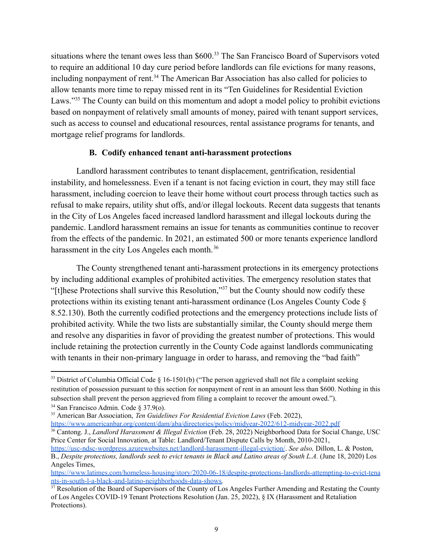situations where the tenant owes less than \$600.<sup>33</sup> The San Francisco Board of Supervisors voted to require an additional 10 day cure period before landlords can file evictions for many reasons, including nonpayment of rent.<sup>34</sup> The American Bar Association has also called for policies to allow tenants more time to repay missed rent in its "Ten Guidelines for Residential Eviction Laws."<sup>35</sup> The County can build on this momentum and adopt a model policy to prohibit evictions based on nonpayment of relatively small amounts of money, paired with tenant support services, such as access to counsel and educational resources, rental assistance programs for tenants, and mortgage relief programs for landlords.

#### **B. Codify enhanced tenant anti-harassment protections**

Landlord harassment contributes to tenant displacement, gentrification, residential instability, and homelessness. Even if a tenant is not facing eviction in court, they may still face harassment, including coercion to leave their home without court process through tactics such as refusal to make repairs, utility shut offs, and/or illegal lockouts. Recent data suggests that tenants in the City of Los Angeles faced increased landlord harassment and illegal lockouts during the pandemic. Landlord harassment remains an issue for tenants as communities continue to recover from the effects of the pandemic. In 2021, an estimated 500 or more tenants experience landlord harassment in the city Los Angeles each month.<sup>36</sup>

The County strengthened tenant anti-harassment protections in its emergency protections by including additional examples of prohibited activities. The emergency resolution states that "[t]hese Protections shall survive this Resolution,"<sup>37</sup> but the County should now codify these protections within its existing tenant anti-harassment ordinance (Los Angeles County Code § 8.52.130). Both the currently codified protections and the emergency protections include lists of prohibited activity. While the two lists are substantially similar, the County should merge them and resolve any disparities in favor of providing the greatest number of protections. This would include retaining the protection currently in the County Code against landlords communicating with tenants in their non-primary language in order to harass, and removing the "bad faith"

<sup>34</sup> San Francisco Admin. Code § 37.9(o). <sup>33</sup> District of Columbia Official Code § 16-1501(b) ("The person aggrieved shall not file a complaint seeking restitution of possession pursuant to this section for nonpayment of rent in an amount less than \$600. Nothing in this subsection shall prevent the person aggrieved from filing a complaint to recover the amount owed.").

<sup>35</sup> American Bar Association, *Ten Guidelines For Residential Eviction Laws* (Feb. 2022), <https://www.americanbar.org/content/dam/aba/directories/policy/midyear-2022/612-midyear-2022.pdf>

<sup>36</sup> Cantong. J., *Landlord Harassment & Illegal Eviction* (Feb. 28, 2022) Neighborhood Data for Social Change, USC Price Center for Social Innovation, at Table: Landlord/Tenant Dispute Calls by Month, 2010-2021,

<https://usc-ndsc-wordpress.azurewebsites.net/landlord-harassment-illegal-eviction/>. *See also,* Dillon, L. & Poston, B., *Despite protections, landlords seek to evict tenants in Black and Latino areas of South L.A.* (June 18, 2020) Los Angeles Times,

[https://www.latimes.com/homeless-housing/story/2020-06-18/despite-protections-landlords-attempting-to-evict-tena](https://www.latimes.com/homeless-housing/story/2020-06-18/despite-protections-landlords-attempting-to-evict-tenants-in-south-l-a-black-and-latino-neighborhoods-data-shows) [nts-in-south-l-a-black-and-latino-neighborhoods-data-shows](https://www.latimes.com/homeless-housing/story/2020-06-18/despite-protections-landlords-attempting-to-evict-tenants-in-south-l-a-black-and-latino-neighborhoods-data-shows)*.*

 $37$  Resolution of the Board of Supervisors of the County of Los Angeles Further Amending and Restating the County of Los Angeles COVID-19 Tenant Protections Resolution (Jan. 25, 2022), § IX (Harassment and Retaliation Protections).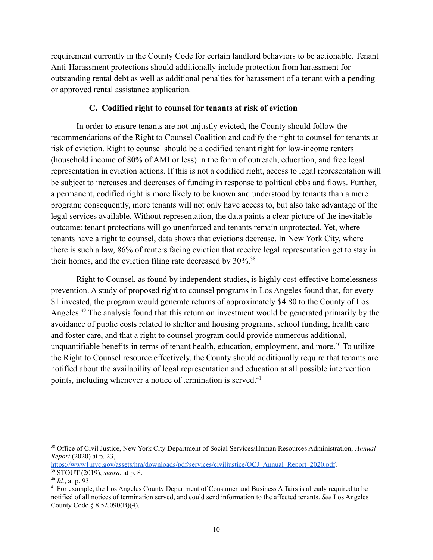requirement currently in the County Code for certain landlord behaviors to be actionable. Tenant Anti-Harassment protections should additionally include protection from harassment for outstanding rental debt as well as additional penalties for harassment of a tenant with a pending or approved rental assistance application.

#### **C. Codified right to counsel for tenants at risk of eviction**

In order to ensure tenants are not unjustly evicted, the County should follow the recommendations of the Right to Counsel Coalition and codify the right to counsel for tenants at risk of eviction. Right to counsel should be a codified tenant right for low-income renters (household income of 80% of AMI or less) in the form of outreach, education, and free legal representation in eviction actions. If this is not a codified right, access to legal representation will be subject to increases and decreases of funding in response to political ebbs and flows. Further, a permanent, codified right is more likely to be known and understood by tenants than a mere program; consequently, more tenants will not only have access to, but also take advantage of the legal services available. Without representation, the data paints a clear picture of the inevitable outcome: tenant protections will go unenforced and tenants remain unprotected. Yet, where tenants have a right to counsel, data shows that evictions decrease. In New York City, where there is such a law, 86% of renters facing eviction that receive legal representation get to stay in their homes, and the eviction filing rate decreased by  $30\%$ .<sup>38</sup>

Right to Counsel, as found by independent studies, is highly cost-effective homelessness prevention. A study of proposed right to counsel programs in Los Angeles found that, for every \$1 invested, the program would generate returns of approximately \$4.80 to the County of Los Angeles.<sup>39</sup> The analysis found that this return on investment would be generated primarily by the avoidance of public costs related to shelter and housing programs, school funding, health care and foster care, and that a right to counsel program could provide numerous additional, unquantifiable benefits in terms of tenant health, education, employment, and more.<sup>40</sup> To utilize the Right to Counsel resource effectively, the County should additionally require that tenants are notified about the availability of legal representation and education at all possible intervention points, including whenever a notice of termination is served.<sup>41</sup>

<sup>38</sup> Office of Civil Justice, New York City Department of Social Services/Human Resources Administration, *Annual Report* (2020) at p. 23,

[https://www1.nyc.gov/assets/hra/downloads/pdf/services/civiljustice/OCJ\\_Annual\\_Report\\_2020.pdf](https://www1.nyc.gov/assets/hra/downloads/pdf/services/civiljustice/OCJ_Annual_Report_2020.pdf).

<sup>39</sup> STOUT (2019), *supra*, at p. 8.

<sup>40</sup> *Id.*, at p. 93.

<sup>&</sup>lt;sup>41</sup> For example, the Los Angeles County Department of Consumer and Business Affairs is already required to be notified of all notices of termination served, and could send information to the affected tenants. *See* Los Angeles County Code § 8.52.090(B)(4).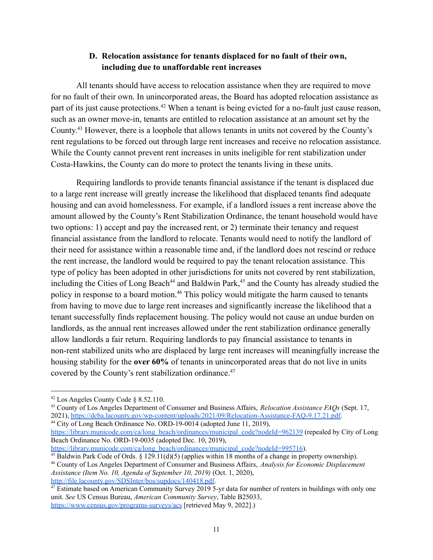#### **D. Relocation assistance for tenants displaced for no fault of their own, including due to unaffordable rent increases**

All tenants should have access to relocation assistance when they are required to move for no fault of their own. In unincorporated areas, the Board has adopted relocation assistance as part of its just cause protections.<sup>42</sup> When a tenant is being evicted for a no-fault just cause reason, such as an owner move-in, tenants are entitled to relocation assistance at an amount set by the County. <sup>43</sup> However, there is a loophole that allows tenants in units not covered by the County's rent regulations to be forced out through large rent increases and receive no relocation assistance. While the County cannot prevent rent increases in units ineligible for rent stabilization under Costa-Hawkins, the County can do more to protect the tenants living in these units.

Requiring landlords to provide tenants financial assistance if the tenant is displaced due to a large rent increase will greatly increase the likelihood that displaced tenants find adequate housing and can avoid homelessness. For example, if a landlord issues a rent increase above the amount allowed by the County's Rent Stabilization Ordinance, the tenant household would have two options: 1) accept and pay the increased rent, or 2) terminate their tenancy and request financial assistance from the landlord to relocate. Tenants would need to notify the landlord of their need for assistance within a reasonable time and, if the landlord does not rescind or reduce the rent increase, the landlord would be required to pay the tenant relocation assistance. This type of policy has been adopted in other jurisdictions for units not covered by rent stabilization, including the Cities of Long Beach<sup>44</sup> and Baldwin Park,<sup>45</sup> and the County has already studied the policy in response to a board motion.<sup>46</sup> This policy would mitigate the harm caused to tenants from having to move due to large rent increases and significantly increase the likelihood that a tenant successfully finds replacement housing. The policy would not cause an undue burden on landlords, as the annual rent increases allowed under the rent stabilization ordinance generally allow landlords a fair return. Requiring landlords to pay financial assistance to tenants in non-rent stabilized units who are displaced by large rent increases will meaningfully increase the housing stability for the **over 60%** of tenants in unincorporated areas that do not live in units covered by the County's rent stabilization ordinance.<sup>47</sup>

<sup>44</sup> City of Long Beach Ordinance No. ORD-19-0014 (adopted June 11, 2019),

[https://library.municode.com/ca/long\\_beach/ordinances/municipal\\_code?nodeId=995716](https://library.municode.com/ca/long_beach/ordinances/municipal_code?nodeId=995716)).

<sup>42</sup> Los Angeles County Code § 8.52.110.

<sup>43</sup> County of Los Angeles Department of Consumer and Business Affairs, *Relocation Assistance FAQs* (Sept. 17, 2021), [https://dcba.lacounty.gov/wp-content/uploads/2021/09/Relocation-Assistance-FAQ-9.17.21.pdf.](https://dcba.lacounty.gov/wp-content/uploads/2021/09/Relocation-Assistance-FAQ-9.17.21.pdf)

[https://library.municode.com/ca/long\\_beach/ordinances/municipal\\_code?nodeId=962139](https://library.municode.com/ca/long_beach/ordinances/municipal_code?nodeId=962139) (repealed by City of Long Beach Ordinance No. ORD-19-0035 (adopted Dec. 10, 2019),

<sup>&</sup>lt;sup>45</sup> Baldwin Park Code of Ords.  $\S 129.11(d)(5)$  (applies within 18 months of a change in property ownership).

<sup>46</sup> County of Los Angeles Department of Consumer and Business Affairs, *Analysis for Economic Displacement Assistance (Item No. 10, Agenda of September 10, 2019)* (Oct. 1, 2020), <http://file.lacounty.gov/SDSInter/bos/supdocs/140418.pdf>.

<sup>&</sup>lt;sup>47</sup> Estimate based on American Community Survey 2019 5-yr data for number of renters in buildings with only one unit. *See* US Census Bureau, *American Community Survey*, Table B25033, <https://www.census.gov/programs-surveys/acs> [retrieved May 9, 2022].)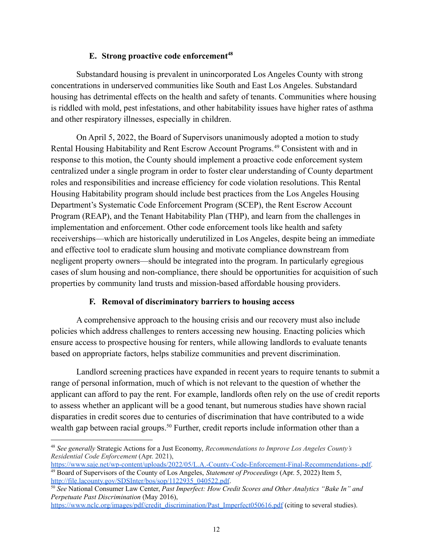#### **E. Strong proactive code enforcement<sup>48</sup>**

Substandard housing is prevalent in unincorporated Los Angeles County with strong concentrations in underserved communities like South and East Los Angeles. Substandard housing has detrimental effects on the health and safety of tenants. Communities where housing is riddled with mold, pest infestations, and other habitability issues have higher rates of asthma and other respiratory illnesses, especially in children.

On April 5, 2022, the Board of Supervisors unanimously adopted a motion to study Rental Housing Habitability and Rent Escrow Account Programs.<sup>49</sup> Consistent with and in response to this motion, the County should implement a proactive code enforcement system centralized under a single program in order to foster clear understanding of County department roles and responsibilities and increase efficiency for code violation resolutions. This Rental Housing Habitability program should include best practices from the Los Angeles Housing Department's Systematic Code Enforcement Program (SCEP), the Rent Escrow Account Program (REAP), and the Tenant Habitability Plan (THP), and learn from the challenges in implementation and enforcement. Other code enforcement tools like health and safety receiverships––which are historically underutilized in Los Angeles, despite being an immediate and effective tool to eradicate slum housing and motivate compliance downstream from negligent property owners––should be integrated into the program. In particularly egregious cases of slum housing and non-compliance, there should be opportunities for acquisition of such properties by community land trusts and mission-based affordable housing providers.

#### **F. Removal of discriminatory barriers to housing access**

A comprehensive approach to the housing crisis and our recovery must also include policies which address challenges to renters accessing new housing. Enacting policies which ensure access to prospective housing for renters, while allowing landlords to evaluate tenants based on appropriate factors, helps stabilize communities and prevent discrimination.

Landlord screening practices have expanded in recent years to require tenants to submit a range of personal information, much of which is not relevant to the question of whether the applicant can afford to pay the rent. For example, landlords often rely on the use of credit reports to assess whether an applicant will be a good tenant, but numerous studies have shown racial disparaties in credit scores due to centuries of discrimination that have contributed to a wide wealth gap between racial groups.<sup>50</sup> Further, credit reports include information other than a

<sup>48</sup> *See generally* Strategic Actions for a Just Economy, *Recommendations to Improve Los Angeles County's Residential Code Enforcement* (Apr. 2021),

<sup>49</sup> Board of Supervisors of the County of Los Angeles, *Statement of Proceedings* (Apr. 5, 2022) Item 5, [http://file.lacounty.gov/SDSInter/bos/sop/1122935\\_040522.pdf](http://file.lacounty.gov/SDSInter/bos/sop/1122935_040522.pdf). [https://www.saje.net/wp-content/uploads/2022/05/L.A.-County-Code-Enforcement-Final-Recommendations-.pdf.](https://www.saje.net/wp-content/uploads/2022/05/L.A.-County-Code-Enforcement-Final-Recommendations-.pdf)

<sup>50</sup> *See* National Consumer Law Center, *Past Imperfect: How Credit Scores and Other Analytics "Bake In" and Perpetuate Past Discrimination* (May 2016),

[https://www.nclc.org/images/pdf/credit\\_discrimination/Past\\_Imperfect050616.pdf](https://www.nclc.org/images/pdf/credit_discrimination/Past_Imperfect050616.pdf) (citing to several studies).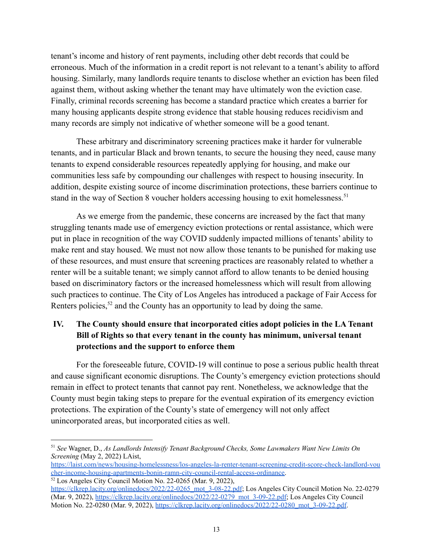tenant's income and history of rent payments, including other debt records that could be erroneous. Much of the information in a credit report is not relevant to a tenant's ability to afford housing. Similarly, many landlords require tenants to disclose whether an eviction has been filed against them, without asking whether the tenant may have ultimately won the eviction case. Finally, criminal records screening has become a standard practice which creates a barrier for many housing applicants despite strong evidence that stable housing reduces recidivism and many records are simply not indicative of whether someone will be a good tenant.

These arbitrary and discriminatory screening practices make it harder for vulnerable tenants, and in particular Black and brown tenants, to secure the housing they need, cause many tenants to expend considerable resources repeatedly applying for housing, and make our communities less safe by compounding our challenges with respect to housing insecurity. In addition, despite existing source of income discrimination protections, these barriers continue to stand in the way of Section 8 voucher holders accessing housing to exit homelessness.<sup>51</sup>

As we emerge from the pandemic, these concerns are increased by the fact that many struggling tenants made use of emergency eviction protections or rental assistance, which were put in place in recognition of the way COVID suddenly impacted millions of tenants' ability to make rent and stay housed. We must not now allow those tenants to be punished for making use of these resources, and must ensure that screening practices are reasonably related to whether a renter will be a suitable tenant; we simply cannot afford to allow tenants to be denied housing based on discriminatory factors or the increased homelessness which will result from allowing such practices to continue. The City of Los Angeles has introduced a package of Fair Access for Renters policies,<sup>52</sup> and the County has an opportunity to lead by doing the same.

# **IV. The County should ensure that incorporated cities adopt policies in the LA Tenant Bill of Rights so that every tenant in the county has minimum, universal tenant protections and the support to enforce them**

For the foreseeable future, COVID-19 will continue to pose a serious public health threat and cause significant economic disruptions. The County's emergency eviction protections should remain in effect to protect tenants that cannot pay rent. Nonetheless, we acknowledge that the County must begin taking steps to prepare for the eventual expiration of its emergency eviction protections. The expiration of the County's state of emergency will not only affect unincorporated areas, but incorporated cities as well.

<sup>51</sup> *See* Wagner, D., *As Landlords Intensify Tenant Background Checks, Some Lawmakers Want New Limits On Screening* (May 2, 2022) LAist,

<sup>&</sup>lt;sup>52</sup> Los Angeles City Council Motion No. 22-0265 (Mar. 9, 2022), [https://laist.com/news/housing-homelessness/los-angeles-la-renter-tenant-screening-credit-score-check-landlord-vou](https://laist.com/news/housing-homelessness/los-angeles-la-renter-tenant-screening-credit-score-check-landlord-voucher-income-housing-apartments-bonin-ramn-city-council-rental-access-ordinance) [cher-income-housing-apartments-bonin-ramn-city-council-rental-access-ordinance.](https://laist.com/news/housing-homelessness/los-angeles-la-renter-tenant-screening-credit-score-check-landlord-voucher-income-housing-apartments-bonin-ramn-city-council-rental-access-ordinance)

[https://clkrep.lacity.org/onlinedocs/2022/22-0265\\_mot\\_3-08-22.pdf](https://clkrep.lacity.org/onlinedocs/2022/22-0265_mot_3-08-22.pdf); Los Angeles City Council Motion No. 22-0279 (Mar. 9, 2022), [https://clkrep.lacity.org/onlinedocs/2022/22-0279\\_mot\\_3-09-22.pdf](https://clkrep.lacity.org/onlinedocs/2022/22-0279_mot_3-09-22.pdf); Los Angeles City Council Motion No. 22-0280 (Mar. 9, 2022), [https://clkrep.lacity.org/onlinedocs/2022/22-0280\\_mot\\_3-09-22.pdf](https://clkrep.lacity.org/onlinedocs/2022/22-0280_mot_3-09-22.pdf).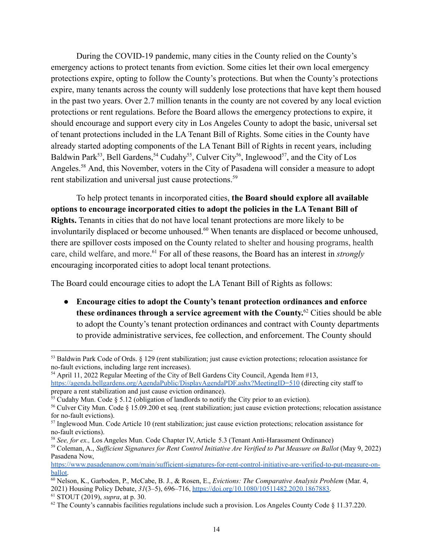During the COVID-19 pandemic, many cities in the County relied on the County's emergency actions to protect tenants from eviction. Some cities let their own local emergency protections expire, opting to follow the County's protections. But when the County's protections expire, many tenants across the county will suddenly lose protections that have kept them housed in the past two years. Over 2.7 million tenants in the county are not covered by any local eviction protections or rent regulations. Before the Board allows the emergency protections to expire, it should encourage and support every city in Los Angeles County to adopt the basic, universal set of tenant protections included in the LA Tenant Bill of Rights. Some cities in the County have already started adopting components of the LA Tenant Bill of Rights in recent years, including Baldwin Park<sup>53</sup>, Bell Gardens, <sup>54</sup> Cudahy<sup>55</sup>, Culver City<sup>56</sup>, Inglewood<sup>57</sup>, and the City of Los Angeles.<sup>58</sup> And, this November, voters in the City of Pasadena will consider a measure to adopt rent stabilization and universal just cause protections.<sup>59</sup>

To help protect tenants in incorporated cities, **the Board should explore all available options to encourage incorporated cities to adopt the policies in the LA Tenant Bill of Rights.** Tenants in cities that do not have local tenant protections are more likely to be involuntarily displaced or become unhoused.<sup>60</sup> When tenants are displaced or become unhoused, there are spillover costs imposed on the County related to shelter and housing programs, health care, child welfare, and more. <sup>61</sup> For all of these reasons, the Board has an interest in *strongly* encouraging incorporated cities to adopt local tenant protections.

The Board could encourage cities to adopt the LA Tenant Bill of Rights as follows:

● **Encourage cities to adopt the County's tenant protection ordinances and enforce these ordinances through a service agreement with the County.** <sup>62</sup> Cities should be able to adopt the County's tenant protection ordinances and contract with County departments to provide administrative services, fee collection, and enforcement. The County should

<sup>54</sup> April 11, 2022 Regular Meeting of the City of Bell Gardens City Council, Agenda Item #13, <https://agenda.bellgardens.org/AgendaPublic/DisplayAgendaPDF.ashx?MeetingID=510> (directing city staff to prepare a rent stabilization and just cause eviction ordinance).

<sup>53</sup> Baldwin Park Code of Ords. § 129 (rent stabilization; just cause eviction protections; relocation assistance for no-fault evictions, including large rent increases).

 $55$  Cudahy Mun. Code § 5.12 (obligation of landlords to notify the City prior to an eviction).

<sup>56</sup> Culver City Mun. Code § 15.09.200 et seq. (rent stabilization; just cause eviction protections; relocation assistance for no-fault evictions).

<sup>&</sup>lt;sup>57</sup> Inglewood Mun. Code Article 10 (rent stabilization; just cause eviction protections; relocation assistance for no-fault evictions).

<sup>58</sup> *See, for ex.,* Los Angeles Mun. Code Chapter IV, Article 5.3 (Tenant Anti-Harassment Ordinance)

<sup>59</sup> Coleman, A., *Suf icient Signatures for Rent Control Initiative Are Verified to Put Measure on Ballot* (May 9, 2022) Pasadena Now,

[https://www.pasadenanow.com/main/sufficient-signatures-for-rent-control-initiative-are-verified-to-put-measure-on](https://www.pasadenanow.com/main/sufficient-signatures-for-rent-control-initiative-are-verified-to-put-measure-on-ballot)[ballot.](https://www.pasadenanow.com/main/sufficient-signatures-for-rent-control-initiative-are-verified-to-put-measure-on-ballot)

<sup>61</sup> STOUT (2019), *supra*, at p. 30. <sup>60</sup> Nelson, K., Garboden, P., McCabe, B. J., & Rosen, E., *Evictions: The Comparative Analysis Problem* (Mar. 4, 2021) Housing Policy Debate, *31*(3–5), 696–716, [https://doi.org/10.1080/10511482.2020.1867883.](https://doi.org/10.1080/10511482.2020.1867883)

 $62$  The County's cannabis facilities regulations include such a provision. Los Angeles County Code § 11.37.220.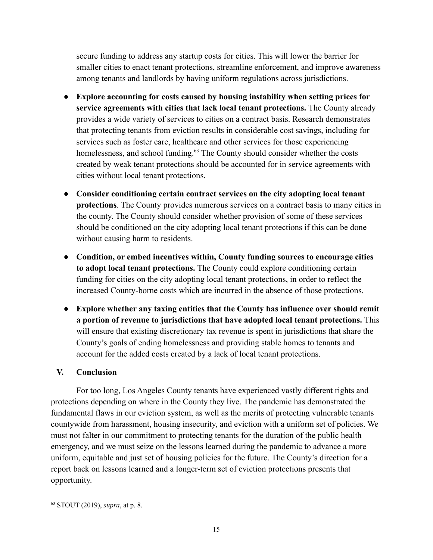secure funding to address any startup costs for cities. This will lower the barrier for smaller cities to enact tenant protections, streamline enforcement, and improve awareness among tenants and landlords by having uniform regulations across jurisdictions.

- **Explore accounting for costs caused by housing instability when setting prices for service agreements with cities that lack local tenant protections.** The County already provides a wide variety of services to cities on a contract basis. Research demonstrates that protecting tenants from eviction results in considerable cost savings, including for services such as foster care, healthcare and other services for those experiencing homelessness, and school funding.<sup>63</sup> The County should consider whether the costs created by weak tenant protections should be accounted for in service agreements with cities without local tenant protections.
- **Consider conditioning certain contract services on the city adopting local tenant protections**. The County provides numerous services on a contract basis to many cities in the county. The County should consider whether provision of some of these services should be conditioned on the city adopting local tenant protections if this can be done without causing harm to residents.
- **● Condition, or embed incentives within, County funding sources to encourage cities to adopt local tenant protections.** The County could explore conditioning certain funding for cities on the city adopting local tenant protections, in order to reflect the increased County-borne costs which are incurred in the absence of those protections.
- **● Explore whether any taxing entities that the County has influence over should remit a portion of revenue to jurisdictions that have adopted local tenant protections.** This will ensure that existing discretionary tax revenue is spent in jurisdictions that share the County's goals of ending homelessness and providing stable homes to tenants and account for the added costs created by a lack of local tenant protections.

# **V. Conclusion**

For too long, Los Angeles County tenants have experienced vastly different rights and protections depending on where in the County they live. The pandemic has demonstrated the fundamental flaws in our eviction system, as well as the merits of protecting vulnerable tenants countywide from harassment, housing insecurity, and eviction with a uniform set of policies. We must not falter in our commitment to protecting tenants for the duration of the public health emergency, and we must seize on the lessons learned during the pandemic to advance a more uniform, equitable and just set of housing policies for the future. The County's direction for a report back on lessons learned and a longer-term set of eviction protections presents that opportunity.

<sup>63</sup> STOUT (2019), *supra*, at p. 8.